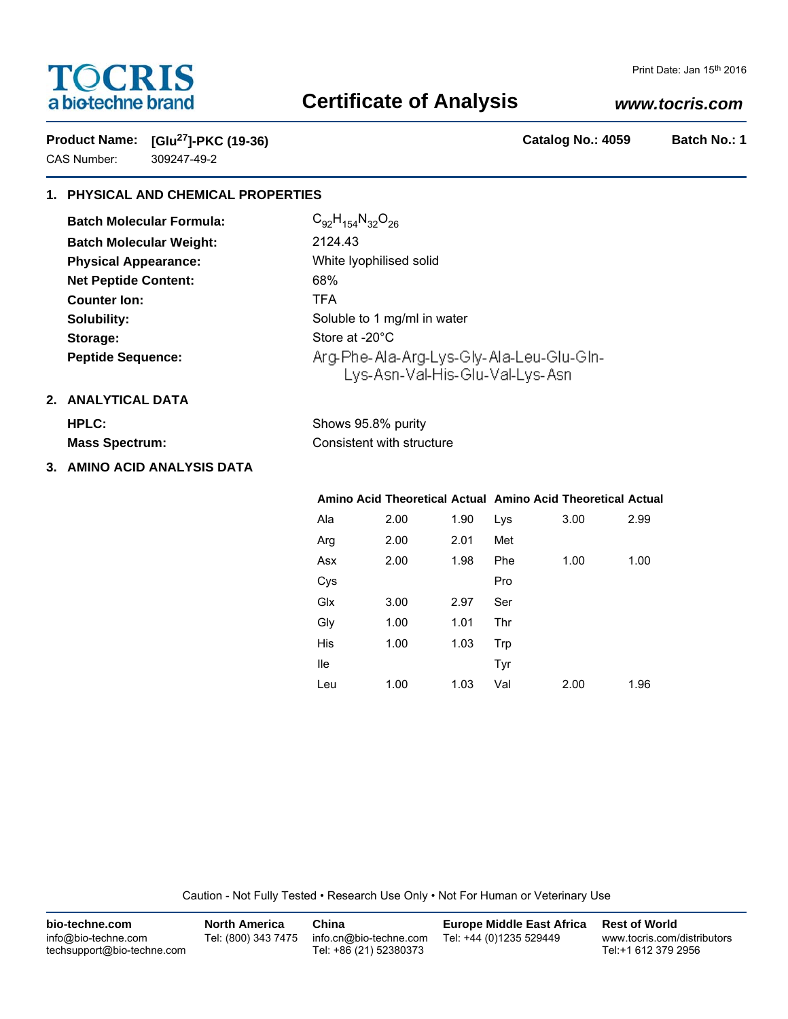# **TOCRIS** a biotechne brand

#### Print Date: Jan 15th 2016

## **Certificate of Analysis**

### *www.tocris.com*

**Product Name: [Glu27]-PKC (19-36) Catalog No.: 4059 Batch No.: 1** CAS Number: 309247-49-2

### **1. PHYSICAL AND CHEMICAL PROPERTIES**

| <b>Batch Molecular Formula:</b> | $C_{92}H_{154}N_{32}O_{26}$                                                 |  |  |  |
|---------------------------------|-----------------------------------------------------------------------------|--|--|--|
| <b>Batch Molecular Weight:</b>  | 2124.43                                                                     |  |  |  |
| <b>Physical Appearance:</b>     | White Iyophilised solid                                                     |  |  |  |
| <b>Net Peptide Content:</b>     | 68%                                                                         |  |  |  |
| <b>Counter Ion:</b>             | TFA                                                                         |  |  |  |
| Solubility:                     | Soluble to 1 mg/ml in water                                                 |  |  |  |
| Storage:                        | Store at -20°C                                                              |  |  |  |
| <b>Peptide Sequence:</b>        | Arg-Phe-Ala-Arg-Lys-Gly-Ala-Leu-Glu-Gln-<br>Lys-Asn-Val-His-Glu-Val-Lys-Asn |  |  |  |

### **2. ANALYTICAL DATA**

| <b>HPLC:</b>          | Shows 95.8% purity        |  |
|-----------------------|---------------------------|--|
| <b>Mass Spectrum:</b> | Consistent with structure |  |

### **3. AMINO ACID ANALYSIS DATA**

#### **Amino Acid Theoretical Actual Amino Acid Theoretical Actual** Ala 2.00 1.90 Arg 2.00 2.01 Asx 2.00 1.98 Cys Glx 3.00 2.97 Gly 1.00 1.01 His 1.00 1.03 Ile Leu 1.00 1.03 Lys 3.00 2.99 Met Phe 1.00 1.00 Pro Ser Thr Trp Tyr Val 2.00 1.96

Caution - Not Fully Tested • Research Use Only • Not For Human or Veterinary Use

| bio-techne.com                                    | <b>North America</b> | China                                            | Europe Middle East Africa | <b>Rest of World</b>                               |
|---------------------------------------------------|----------------------|--------------------------------------------------|---------------------------|----------------------------------------------------|
| info@bio-techne.com<br>techsupport@bio-techne.com | Tel: (800) 343 7475  | info.cn@bio-techne.com<br>Tel: +86 (21) 52380373 | Tel: +44 (0)1235 529449   | www.tocris.com/distributors<br>Tel:+1 612 379 2956 |